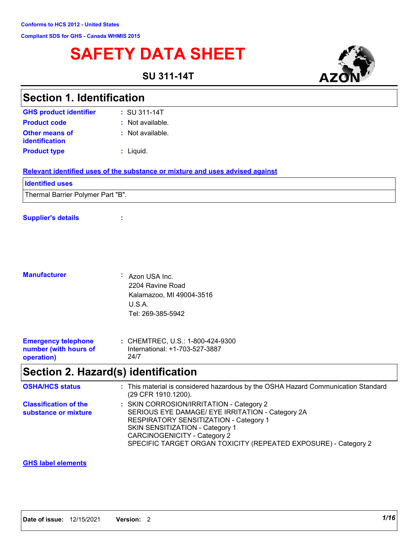# **SAFETY DATA SHEET**

**SU 311-14T**



| <b>Section 1. Identification</b>                                  |                                                                                                                                                                                                                                                                                     |
|-------------------------------------------------------------------|-------------------------------------------------------------------------------------------------------------------------------------------------------------------------------------------------------------------------------------------------------------------------------------|
| <b>GHS product identifier</b>                                     | $: SU 311 - 14T$                                                                                                                                                                                                                                                                    |
| <b>Product code</b>                                               | : Not available.                                                                                                                                                                                                                                                                    |
| <b>Other means of</b><br>identification                           | : Not available.                                                                                                                                                                                                                                                                    |
| <b>Product type</b>                                               | : Liquid.                                                                                                                                                                                                                                                                           |
|                                                                   | Relevant identified uses of the substance or mixture and uses advised against                                                                                                                                                                                                       |
| <b>Identified uses</b>                                            |                                                                                                                                                                                                                                                                                     |
| Thermal Barrier Polymer Part "B".                                 |                                                                                                                                                                                                                                                                                     |
| <b>Supplier's details</b>                                         |                                                                                                                                                                                                                                                                                     |
| <b>Manufacturer</b>                                               | : Azon USA Inc.<br>2204 Ravine Road<br>Kalamazoo, MI 49004-3516<br>U.S.A.<br>Tel: 269-385-5942                                                                                                                                                                                      |
| <b>Emergency telephone</b><br>number (with hours of<br>operation) | : CHEMTREC, U.S.: 1-800-424-9300<br>International: +1-703-527-3887<br>24/7                                                                                                                                                                                                          |
|                                                                   | Section 2. Hazard(s) identification                                                                                                                                                                                                                                                 |
| <b>OSHA/HCS status</b>                                            | : This material is considered hazardous by the OSHA Hazard Communication Standard<br>(29 CFR 1910.1200).                                                                                                                                                                            |
| <b>Classification of the</b><br>substance or mixture              | : SKIN CORROSION/IRRITATION - Category 2<br>SERIOUS EYE DAMAGE/ EYE IRRITATION - Category 2A<br>RESPIRATORY SENSITIZATION - Category 1<br>SKIN SENSITIZATION - Category 1<br><b>CARCINOGENICITY - Category 2</b><br>SPECIFIC TARGET ORGAN TOXICITY (REPEATED EXPOSURE) - Category 2 |

#### **GHS label elements**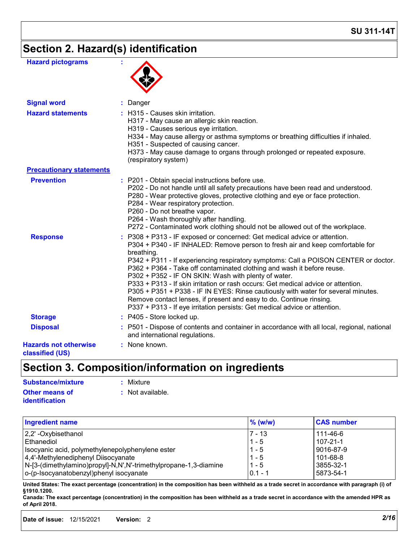## **Section 2. Hazard(s) identification**

| <b>Hazard pictograms</b>                        |                                                                                                                                                                                                                                                                                                                                                                                                                                                                                                                                                                                                                                                                                                                                  |
|-------------------------------------------------|----------------------------------------------------------------------------------------------------------------------------------------------------------------------------------------------------------------------------------------------------------------------------------------------------------------------------------------------------------------------------------------------------------------------------------------------------------------------------------------------------------------------------------------------------------------------------------------------------------------------------------------------------------------------------------------------------------------------------------|
| <b>Signal word</b>                              | : Danger                                                                                                                                                                                                                                                                                                                                                                                                                                                                                                                                                                                                                                                                                                                         |
| <b>Hazard statements</b>                        | : H315 - Causes skin irritation.<br>H317 - May cause an allergic skin reaction.<br>H319 - Causes serious eye irritation.<br>H334 - May cause allergy or asthma symptoms or breathing difficulties if inhaled.<br>H351 - Suspected of causing cancer.<br>H373 - May cause damage to organs through prolonged or repeated exposure.<br>(respiratory system)                                                                                                                                                                                                                                                                                                                                                                        |
| <b>Precautionary statements</b>                 |                                                                                                                                                                                                                                                                                                                                                                                                                                                                                                                                                                                                                                                                                                                                  |
| <b>Prevention</b>                               | : P201 - Obtain special instructions before use.<br>P202 - Do not handle until all safety precautions have been read and understood.<br>P280 - Wear protective gloves, protective clothing and eye or face protection.<br>P284 - Wear respiratory protection.<br>P260 - Do not breathe vapor.<br>P264 - Wash thoroughly after handling.<br>P272 - Contaminated work clothing should not be allowed out of the workplace.                                                                                                                                                                                                                                                                                                         |
| <b>Response</b>                                 | : P308 + P313 - IF exposed or concerned: Get medical advice or attention.<br>P304 + P340 - IF INHALED: Remove person to fresh air and keep comfortable for<br>breathing.<br>P342 + P311 - If experiencing respiratory symptoms: Call a POISON CENTER or doctor.<br>P362 + P364 - Take off contaminated clothing and wash it before reuse.<br>P302 + P352 - IF ON SKIN: Wash with plenty of water.<br>P333 + P313 - If skin irritation or rash occurs: Get medical advice or attention.<br>P305 + P351 + P338 - IF IN EYES: Rinse cautiously with water for several minutes.<br>Remove contact lenses, if present and easy to do. Continue rinsing.<br>P337 + P313 - If eye irritation persists: Get medical advice or attention. |
| <b>Storage</b>                                  | : P405 - Store locked up.                                                                                                                                                                                                                                                                                                                                                                                                                                                                                                                                                                                                                                                                                                        |
| <b>Disposal</b>                                 | : P501 - Dispose of contents and container in accordance with all local, regional, national<br>and international regulations.                                                                                                                                                                                                                                                                                                                                                                                                                                                                                                                                                                                                    |
| <b>Hazards not otherwise</b><br>classified (US) | : None known.                                                                                                                                                                                                                                                                                                                                                                                                                                                                                                                                                                                                                                                                                                                    |

# **Section 3. Composition/information on ingredients**

| Substance/mixture                              | : Mixture          |
|------------------------------------------------|--------------------|
| <b>Other means of</b><br><b>identification</b> | $:$ Not available. |
|                                                |                    |

| <b>Ingredient name</b>                                           | $%$ (w/w) | <b>CAS number</b> |
|------------------------------------------------------------------|-----------|-------------------|
| 2,2' -Oxybisethanol                                              | $7 - 13$  | 111-46-6          |
| Ethanediol                                                       | $1 - 5$   | $107 - 21 - 1$    |
| Isocyanic acid, polymethylenepolyphenylene ester                 | $1 - 5$   | 9016-87-9         |
| 4,4'-Methylenediphenyl Diisocyanate                              | $1 - 5$   | 101-68-8          |
| N-[3-(dimethylamino)propyl]-N,N',N'-trimethylpropane-1,3-diamine | $1 - 5$   | 3855-32-1         |
| o-(p-Isocyanatobenzyl)phenyl isocyanate                          | $0.1 - 1$ | 5873-54-1         |

**United States: The exact percentage (concentration) in the composition has been withheld as a trade secret in accordance with paragraph (i) of §1910.1200.**

**Canada: The exact percentage (concentration) in the composition has been withheld as a trade secret in accordance with the amended HPR as of April 2018.**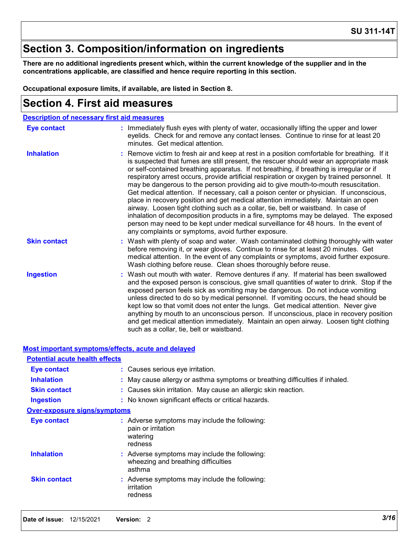### **Section 3. Composition/information on ingredients**

**There are no additional ingredients present which, within the current knowledge of the supplier and in the concentrations applicable, are classified and hence require reporting in this section.**

**Occupational exposure limits, if available, are listed in Section 8.**

### **Section 4. First aid measures**

| <b>Description of necessary first aid measures</b> |                                                                                                                                                                                                                                                                                                                                                                                                                                                                                                                                                                                                                                                                                                                                                                                                                                                                                                                                                                                       |  |  |
|----------------------------------------------------|---------------------------------------------------------------------------------------------------------------------------------------------------------------------------------------------------------------------------------------------------------------------------------------------------------------------------------------------------------------------------------------------------------------------------------------------------------------------------------------------------------------------------------------------------------------------------------------------------------------------------------------------------------------------------------------------------------------------------------------------------------------------------------------------------------------------------------------------------------------------------------------------------------------------------------------------------------------------------------------|--|--|
| <b>Eye contact</b>                                 | : Immediately flush eyes with plenty of water, occasionally lifting the upper and lower<br>eyelids. Check for and remove any contact lenses. Continue to rinse for at least 20<br>minutes. Get medical attention.                                                                                                                                                                                                                                                                                                                                                                                                                                                                                                                                                                                                                                                                                                                                                                     |  |  |
| <b>Inhalation</b>                                  | : Remove victim to fresh air and keep at rest in a position comfortable for breathing. If it<br>is suspected that fumes are still present, the rescuer should wear an appropriate mask<br>or self-contained breathing apparatus. If not breathing, if breathing is irregular or if<br>respiratory arrest occurs, provide artificial respiration or oxygen by trained personnel. It<br>may be dangerous to the person providing aid to give mouth-to-mouth resuscitation.<br>Get medical attention. If necessary, call a poison center or physician. If unconscious,<br>place in recovery position and get medical attention immediately. Maintain an open<br>airway. Loosen tight clothing such as a collar, tie, belt or waistband. In case of<br>inhalation of decomposition products in a fire, symptoms may be delayed. The exposed<br>person may need to be kept under medical surveillance for 48 hours. In the event of<br>any complaints or symptoms, avoid further exposure. |  |  |
| <b>Skin contact</b>                                | : Wash with plenty of soap and water. Wash contaminated clothing thoroughly with water<br>before removing it, or wear gloves. Continue to rinse for at least 20 minutes. Get<br>medical attention. In the event of any complaints or symptoms, avoid further exposure.<br>Wash clothing before reuse. Clean shoes thoroughly before reuse.                                                                                                                                                                                                                                                                                                                                                                                                                                                                                                                                                                                                                                            |  |  |
| <b>Ingestion</b>                                   | : Wash out mouth with water. Remove dentures if any. If material has been swallowed<br>and the exposed person is conscious, give small quantities of water to drink. Stop if the<br>exposed person feels sick as vomiting may be dangerous. Do not induce vomiting<br>unless directed to do so by medical personnel. If vomiting occurs, the head should be<br>kept low so that vomit does not enter the lungs. Get medical attention. Never give<br>anything by mouth to an unconscious person. If unconscious, place in recovery position<br>and get medical attention immediately. Maintain an open airway. Loosen tight clothing<br>such as a collar, tie, belt or waistband.                                                                                                                                                                                                                                                                                                     |  |  |

|                                       | <u>Most important symptoms/effects, acute and delayed</u>                                      |
|---------------------------------------|------------------------------------------------------------------------------------------------|
| <b>Potential acute health effects</b> |                                                                                                |
| Eye contact                           | : Causes serious eye irritation.                                                               |
| <b>Inhalation</b>                     | : May cause allergy or asthma symptoms or breathing difficulties if inhaled.                   |
| <b>Skin contact</b>                   | : Causes skin irritation. May cause an allergic skin reaction.                                 |
| <b>Ingestion</b>                      | : No known significant effects or critical hazards.                                            |
| <b>Over-exposure signs/symptoms</b>   |                                                                                                |
| Eye contact                           | : Adverse symptoms may include the following:<br>pain or irritation<br>watering<br>redness     |
| <b>Inhalation</b>                     | : Adverse symptoms may include the following:<br>wheezing and breathing difficulties<br>asthma |
| <b>Skin contact</b>                   | : Adverse symptoms may include the following:<br>irritation<br>redness                         |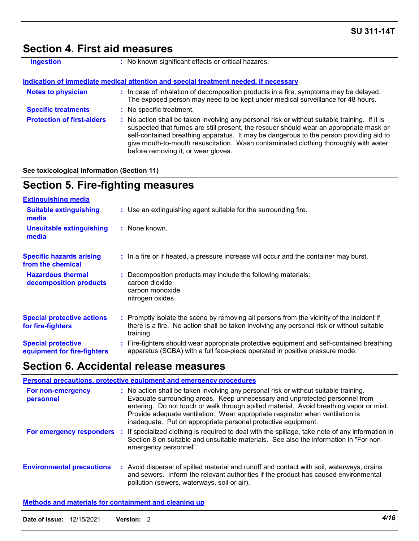### **Section 4. First aid measures**

| Ingestion |  |  |  |
|-----------|--|--|--|
|           |  |  |  |
|           |  |  |  |

**:** No known significant effects or critical hazards.

#### **Indication of immediate medical attention and special treatment needed, if necessary**

| <b>Notes to physician</b>         | : In case of inhalation of decomposition products in a fire, symptoms may be delayed.<br>The exposed person may need to be kept under medical surveillance for 48 hours.                                                                                                                                                                                                                                        |
|-----------------------------------|-----------------------------------------------------------------------------------------------------------------------------------------------------------------------------------------------------------------------------------------------------------------------------------------------------------------------------------------------------------------------------------------------------------------|
| <b>Specific treatments</b>        | : No specific treatment.                                                                                                                                                                                                                                                                                                                                                                                        |
| <b>Protection of first-aiders</b> | : No action shall be taken involving any personal risk or without suitable training. If it is<br>suspected that fumes are still present, the rescuer should wear an appropriate mask or<br>self-contained breathing apparatus. It may be dangerous to the person providing aid to<br>give mouth-to-mouth resuscitation. Wash contaminated clothing thoroughly with water<br>before removing it, or wear gloves. |

#### **See toxicological information (Section 11)**

### **Section 5. Fire-fighting measures**

| <b>Extinguishing media</b>                               |                                                                                                                                                                                                     |
|----------------------------------------------------------|-----------------------------------------------------------------------------------------------------------------------------------------------------------------------------------------------------|
| <b>Suitable extinguishing</b><br>media                   | : Use an extinguishing agent suitable for the surrounding fire.                                                                                                                                     |
| <b>Unsuitable extinguishing</b><br>media                 | : None known.                                                                                                                                                                                       |
| <b>Specific hazards arising</b><br>from the chemical     | : In a fire or if heated, a pressure increase will occur and the container may burst.                                                                                                               |
| <b>Hazardous thermal</b><br>decomposition products       | Decomposition products may include the following materials:<br>carbon dioxide<br>carbon monoxide<br>nitrogen oxides                                                                                 |
| <b>Special protective actions</b><br>for fire-fighters   | : Promptly isolate the scene by removing all persons from the vicinity of the incident if<br>there is a fire. No action shall be taken involving any personal risk or without suitable<br>training. |
| <b>Special protective</b><br>equipment for fire-fighters | Fire-fighters should wear appropriate protective equipment and self-contained breathing<br>apparatus (SCBA) with a full face-piece operated in positive pressure mode.                              |

### **Section 6. Accidental release measures**

| <b>Personal precautions, protective equipment and emergency procedures</b> |  |                                                                                                                                                                                                                                                                                                                                                                                                                  |  |  |
|----------------------------------------------------------------------------|--|------------------------------------------------------------------------------------------------------------------------------------------------------------------------------------------------------------------------------------------------------------------------------------------------------------------------------------------------------------------------------------------------------------------|--|--|
| For non-emergency<br>personnel                                             |  | : No action shall be taken involving any personal risk or without suitable training.<br>Evacuate surrounding areas. Keep unnecessary and unprotected personnel from<br>entering. Do not touch or walk through spilled material. Avoid breathing vapor or mist.<br>Provide adequate ventilation. Wear appropriate respirator when ventilation is<br>inadequate. Put on appropriate personal protective equipment. |  |  |
| For emergency responders                                                   |  | : If specialized clothing is required to deal with the spillage, take note of any information in<br>Section 8 on suitable and unsuitable materials. See also the information in "For non-<br>emergency personnel".                                                                                                                                                                                               |  |  |
| <b>Environmental precautions</b>                                           |  | : Avoid dispersal of spilled material and runoff and contact with soil, waterways, drains<br>and sewers. Inform the relevant authorities if the product has caused environmental<br>pollution (sewers, waterways, soil or air).                                                                                                                                                                                  |  |  |

#### **Methods and materials for containment and cleaning up**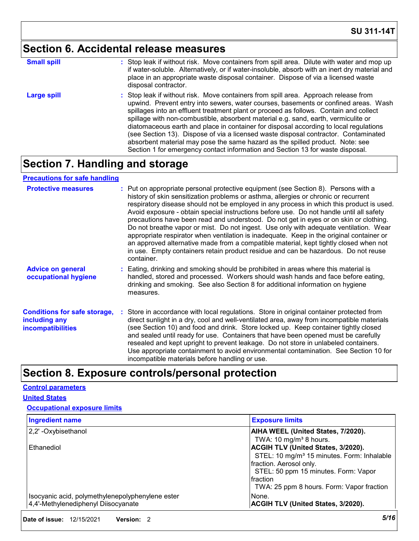### **Section 6. Accidental release measures**

| <b>Small spill</b> | : Stop leak if without risk. Move containers from spill area. Dilute with water and mop up<br>if water-soluble. Alternatively, or if water-insoluble, absorb with an inert dry material and<br>place in an appropriate waste disposal container. Dispose of via a licensed waste<br>disposal contractor.                                                                                                                                                                                                                                                                                                                                                                                                     |
|--------------------|--------------------------------------------------------------------------------------------------------------------------------------------------------------------------------------------------------------------------------------------------------------------------------------------------------------------------------------------------------------------------------------------------------------------------------------------------------------------------------------------------------------------------------------------------------------------------------------------------------------------------------------------------------------------------------------------------------------|
| <b>Large spill</b> | : Stop leak if without risk. Move containers from spill area. Approach release from<br>upwind. Prevent entry into sewers, water courses, basements or confined areas. Wash<br>spillages into an effluent treatment plant or proceed as follows. Contain and collect<br>spillage with non-combustible, absorbent material e.g. sand, earth, vermiculite or<br>diatomaceous earth and place in container for disposal according to local regulations<br>(see Section 13). Dispose of via a licensed waste disposal contractor. Contaminated<br>absorbent material may pose the same hazard as the spilled product. Note: see<br>Section 1 for emergency contact information and Section 13 for waste disposal. |

### **Section 7. Handling and storage**

#### **Precautions for safe handling**

| <b>Protective measures</b>                                                       | : Put on appropriate personal protective equipment (see Section 8). Persons with a<br>history of skin sensitization problems or asthma, allergies or chronic or recurrent<br>respiratory disease should not be employed in any process in which this product is used.<br>Avoid exposure - obtain special instructions before use. Do not handle until all safety<br>precautions have been read and understood. Do not get in eyes or on skin or clothing.<br>Do not breathe vapor or mist. Do not ingest. Use only with adequate ventilation. Wear<br>appropriate respirator when ventilation is inadequate. Keep in the original container or<br>an approved alternative made from a compatible material, kept tightly closed when not<br>in use. Empty containers retain product residue and can be hazardous. Do not reuse<br>container. |
|----------------------------------------------------------------------------------|---------------------------------------------------------------------------------------------------------------------------------------------------------------------------------------------------------------------------------------------------------------------------------------------------------------------------------------------------------------------------------------------------------------------------------------------------------------------------------------------------------------------------------------------------------------------------------------------------------------------------------------------------------------------------------------------------------------------------------------------------------------------------------------------------------------------------------------------|
| <b>Advice on general</b><br>occupational hygiene                                 | : Eating, drinking and smoking should be prohibited in areas where this material is<br>handled, stored and processed. Workers should wash hands and face before eating,<br>drinking and smoking. See also Section 8 for additional information on hygiene<br>measures.                                                                                                                                                                                                                                                                                                                                                                                                                                                                                                                                                                      |
| <b>Conditions for safe storage,</b><br>including any<br><b>incompatibilities</b> | Store in accordance with local regulations. Store in original container protected from<br>direct sunlight in a dry, cool and well-ventilated area, away from incompatible materials<br>(see Section 10) and food and drink. Store locked up. Keep container tightly closed<br>and sealed until ready for use. Containers that have been opened must be carefully<br>resealed and kept upright to prevent leakage. Do not store in unlabeled containers.<br>Use appropriate containment to avoid environmental contamination. See Section 10 for<br>incompatible materials before handling or use.                                                                                                                                                                                                                                           |

### **Section 8. Exposure controls/personal protection**

#### **Control parameters**

#### **United States**

#### **Occupational exposure limits**

| <b>Ingredient name</b>                           | <b>Exposure limits</b>                                 |
|--------------------------------------------------|--------------------------------------------------------|
| 2,2' - Oxybisethanol                             | AIHA WEEL (United States, 7/2020).                     |
|                                                  | TWA: 10 mg/m <sup>3</sup> 8 hours.                     |
| Ethanediol                                       | <b>ACGIH TLV (United States, 3/2020).</b>              |
|                                                  | STEL: 10 mg/m <sup>3</sup> 15 minutes. Form: Inhalable |
|                                                  | fraction. Aerosol only.                                |
|                                                  | STEL: 50 ppm 15 minutes. Form: Vapor                   |
|                                                  | Ifraction                                              |
|                                                  | TWA: 25 ppm 8 hours. Form: Vapor fraction              |
| Isocyanic acid, polymethylenepolyphenylene ester | None.                                                  |
| 4,4'-Methylenediphenyl Diisocyanate              | <b>ACGIH TLV (United States, 3/2020).</b>              |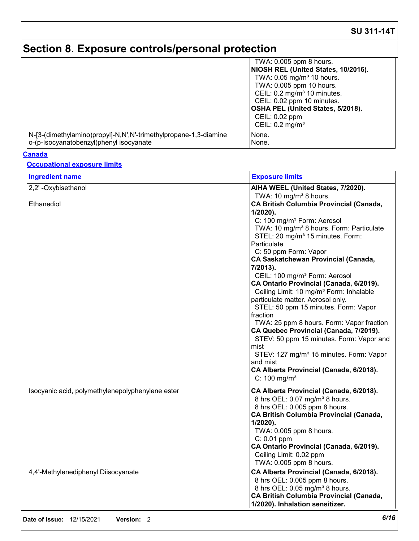# **Section 8. Exposure controls/personal protection**

|                                                                  | TWA: 0.005 ppm 8 hours.                  |
|------------------------------------------------------------------|------------------------------------------|
|                                                                  | NIOSH REL (United States, 10/2016).      |
|                                                                  | TWA: 0.05 mg/m <sup>3</sup> 10 hours.    |
|                                                                  | TWA: 0.005 ppm 10 hours.                 |
|                                                                  | CEIL: 0.2 mg/m <sup>3</sup> 10 minutes.  |
|                                                                  | CEIL: 0.02 ppm 10 minutes.               |
|                                                                  | <b>OSHA PEL (United States, 5/2018).</b> |
|                                                                  | CEIL: 0.02 ppm                           |
|                                                                  | CEIL: $0.2 \text{ mg/m}^3$               |
| N-[3-(dimethylamino)propyl]-N,N',N'-trimethylpropane-1,3-diamine | None.                                    |
| o-(p-Isocyanatobenzyl)phenyl isocyanate                          | None.                                    |

#### **Canada**

#### **Occupational exposure limits**

| <b>Ingredient name</b>                           | <b>Exposure limits</b>                                                                                                                                                                                                                                                                                                                                                                                                                                                                                                                                                                                                                                                                                                                                                                                                                                                           |
|--------------------------------------------------|----------------------------------------------------------------------------------------------------------------------------------------------------------------------------------------------------------------------------------------------------------------------------------------------------------------------------------------------------------------------------------------------------------------------------------------------------------------------------------------------------------------------------------------------------------------------------------------------------------------------------------------------------------------------------------------------------------------------------------------------------------------------------------------------------------------------------------------------------------------------------------|
| 2,2' - Oxybisethanol                             | AIHA WEEL (United States, 7/2020).                                                                                                                                                                                                                                                                                                                                                                                                                                                                                                                                                                                                                                                                                                                                                                                                                                               |
| Ethanediol                                       | TWA: 10 mg/m <sup>3</sup> 8 hours.<br><b>CA British Columbia Provincial (Canada,</b><br>1/2020).<br>C: 100 mg/m <sup>3</sup> Form: Aerosol<br>TWA: 10 mg/m <sup>3</sup> 8 hours. Form: Particulate<br>STEL: 20 mg/m <sup>3</sup> 15 minutes. Form:<br>Particulate<br>C: 50 ppm Form: Vapor<br><b>CA Saskatchewan Provincial (Canada,</b><br>7/2013).<br>CEIL: 100 mg/m <sup>3</sup> Form: Aerosol<br>CA Ontario Provincial (Canada, 6/2019).<br>Ceiling Limit: 10 mg/m <sup>3</sup> Form: Inhalable<br>particulate matter. Aerosol only.<br>STEL: 50 ppm 15 minutes. Form: Vapor<br>fraction<br>TWA: 25 ppm 8 hours. Form: Vapor fraction<br>CA Quebec Provincial (Canada, 7/2019).<br>STEV: 50 ppm 15 minutes. Form: Vapor and<br>mist<br>STEV: 127 mg/m <sup>3</sup> 15 minutes. Form: Vapor<br>and mist<br>CA Alberta Provincial (Canada, 6/2018).<br>C: $100 \text{ mg/m}^3$ |
| Isocyanic acid, polymethylenepolyphenylene ester | CA Alberta Provincial (Canada, 6/2018).<br>8 hrs OEL: 0.07 mg/m <sup>3</sup> 8 hours.<br>8 hrs OEL: 0.005 ppm 8 hours.<br><b>CA British Columbia Provincial (Canada,</b><br>$1/2020$ ).<br>TWA: 0.005 ppm 8 hours.<br>$C: 0.01$ ppm<br>CA Ontario Provincial (Canada, 6/2019).<br>Ceiling Limit: 0.02 ppm<br>TWA: 0.005 ppm 8 hours.                                                                                                                                                                                                                                                                                                                                                                                                                                                                                                                                             |
| 4,4'-Methylenediphenyl Diisocyanate              | CA Alberta Provincial (Canada, 6/2018).<br>8 hrs OEL: 0.005 ppm 8 hours.<br>8 hrs OEL: 0.05 mg/m <sup>3</sup> 8 hours.<br><b>CA British Columbia Provincial (Canada,</b><br>1/2020). Inhalation sensitizer.                                                                                                                                                                                                                                                                                                                                                                                                                                                                                                                                                                                                                                                                      |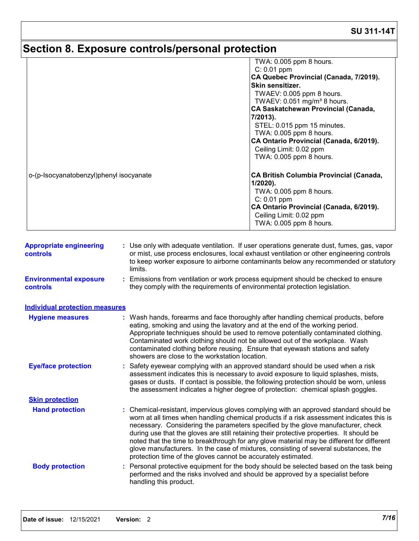# **Section 8. Exposure controls/personal protection**

|                                         |                                                | TWA: 0.005 ppm 8 hours.                                                                                                                                                                                                                                                                                                                                                                                                                                                                                                                               |  |  |  |  |
|-----------------------------------------|------------------------------------------------|-------------------------------------------------------------------------------------------------------------------------------------------------------------------------------------------------------------------------------------------------------------------------------------------------------------------------------------------------------------------------------------------------------------------------------------------------------------------------------------------------------------------------------------------------------|--|--|--|--|
|                                         |                                                | $C: 0.01$ ppm                                                                                                                                                                                                                                                                                                                                                                                                                                                                                                                                         |  |  |  |  |
|                                         |                                                | CA Quebec Provincial (Canada, 7/2019).                                                                                                                                                                                                                                                                                                                                                                                                                                                                                                                |  |  |  |  |
|                                         |                                                | Skin sensitizer.                                                                                                                                                                                                                                                                                                                                                                                                                                                                                                                                      |  |  |  |  |
|                                         |                                                | TWAEV: 0.005 ppm 8 hours.<br>TWAEV: 0.051 mg/m <sup>3</sup> 8 hours.<br><b>CA Saskatchewan Provincial (Canada,</b><br>7/2013).                                                                                                                                                                                                                                                                                                                                                                                                                        |  |  |  |  |
|                                         |                                                |                                                                                                                                                                                                                                                                                                                                                                                                                                                                                                                                                       |  |  |  |  |
|                                         |                                                |                                                                                                                                                                                                                                                                                                                                                                                                                                                                                                                                                       |  |  |  |  |
|                                         |                                                | STEL: 0.015 ppm 15 minutes.                                                                                                                                                                                                                                                                                                                                                                                                                                                                                                                           |  |  |  |  |
|                                         |                                                | TWA: 0.005 ppm 8 hours.                                                                                                                                                                                                                                                                                                                                                                                                                                                                                                                               |  |  |  |  |
|                                         |                                                | CA Ontario Provincial (Canada, 6/2019).                                                                                                                                                                                                                                                                                                                                                                                                                                                                                                               |  |  |  |  |
|                                         |                                                | Ceiling Limit: 0.02 ppm                                                                                                                                                                                                                                                                                                                                                                                                                                                                                                                               |  |  |  |  |
|                                         |                                                | TWA: 0.005 ppm 8 hours.                                                                                                                                                                                                                                                                                                                                                                                                                                                                                                                               |  |  |  |  |
| o-(p-Isocyanatobenzyl)phenyl isocyanate |                                                | <b>CA British Columbia Provincial (Canada,</b>                                                                                                                                                                                                                                                                                                                                                                                                                                                                                                        |  |  |  |  |
|                                         |                                                | $1/2020$ ).                                                                                                                                                                                                                                                                                                                                                                                                                                                                                                                                           |  |  |  |  |
|                                         |                                                | TWA: 0.005 ppm 8 hours.                                                                                                                                                                                                                                                                                                                                                                                                                                                                                                                               |  |  |  |  |
|                                         |                                                | $C: 0.01$ ppm                                                                                                                                                                                                                                                                                                                                                                                                                                                                                                                                         |  |  |  |  |
|                                         |                                                | CA Ontario Provincial (Canada, 6/2019).<br>Ceiling Limit: 0.02 ppm                                                                                                                                                                                                                                                                                                                                                                                                                                                                                    |  |  |  |  |
|                                         |                                                | TWA: 0.005 ppm 8 hours.                                                                                                                                                                                                                                                                                                                                                                                                                                                                                                                               |  |  |  |  |
|                                         |                                                |                                                                                                                                                                                                                                                                                                                                                                                                                                                                                                                                                       |  |  |  |  |
| <b>Environmental exposure</b>           | limits.                                        | : Emissions from ventilation or work process equipment should be checked to ensure                                                                                                                                                                                                                                                                                                                                                                                                                                                                    |  |  |  |  |
| <b>controls</b>                         |                                                | they comply with the requirements of environmental protection legislation.                                                                                                                                                                                                                                                                                                                                                                                                                                                                            |  |  |  |  |
| <b>Individual protection measures</b>   |                                                |                                                                                                                                                                                                                                                                                                                                                                                                                                                                                                                                                       |  |  |  |  |
| <b>Hygiene measures</b>                 |                                                | : Wash hands, forearms and face thoroughly after handling chemical products, before<br>eating, smoking and using the lavatory and at the end of the working period.<br>Appropriate techniques should be used to remove potentially contaminated clothing.<br>Contaminated work clothing should not be allowed out of the workplace. Wash<br>contaminated clothing before reusing. Ensure that eyewash stations and safety                                                                                                                             |  |  |  |  |
| <b>Eye/face protection</b>              | showers are close to the workstation location. | : Safety eyewear complying with an approved standard should be used when a risk                                                                                                                                                                                                                                                                                                                                                                                                                                                                       |  |  |  |  |
|                                         |                                                | assessment indicates this is necessary to avoid exposure to liquid splashes, mists,<br>gases or dusts. If contact is possible, the following protection should be worn, unless<br>the assessment indicates a higher degree of protection: chemical splash goggles.                                                                                                                                                                                                                                                                                    |  |  |  |  |
| <b>Skin protection</b>                  |                                                |                                                                                                                                                                                                                                                                                                                                                                                                                                                                                                                                                       |  |  |  |  |
| <b>Hand protection</b>                  |                                                | : Chemical-resistant, impervious gloves complying with an approved standard should be<br>worn at all times when handling chemical products if a risk assessment indicates this is<br>necessary. Considering the parameters specified by the glove manufacturer, check<br>during use that the gloves are still retaining their protective properties. It should be<br>noted that the time to breakthrough for any glove material may be different for different<br>glove manufacturers. In the case of mixtures, consisting of several substances, the |  |  |  |  |
|                                         |                                                | protection time of the gloves cannot be accurately estimated.                                                                                                                                                                                                                                                                                                                                                                                                                                                                                         |  |  |  |  |
| <b>Body protection</b>                  | handling this product.                         | : Personal protective equipment for the body should be selected based on the task being<br>performed and the risks involved and should be approved by a specialist before                                                                                                                                                                                                                                                                                                                                                                             |  |  |  |  |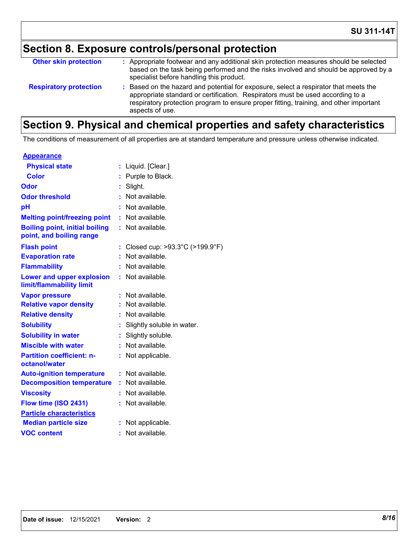# **Section 8. Exposure controls/personal protection**

| <b>Other skin protection</b>  | : Appropriate footwear and any additional skin protection measures should be selected<br>based on the task being performed and the risks involved and should be approved by a<br>specialist before handling this product.                                                           |
|-------------------------------|-------------------------------------------------------------------------------------------------------------------------------------------------------------------------------------------------------------------------------------------------------------------------------------|
| <b>Respiratory protection</b> | : Based on the hazard and potential for exposure, select a respirator that meets the<br>appropriate standard or certification. Respirators must be used according to a<br>respiratory protection program to ensure proper fitting, training, and other important<br>aspects of use. |

### **Section 9. Physical and chemical properties and safety characteristics**

The conditions of measurement of all properties are at standard temperature and pressure unless otherwise indicated.

| <u>Appearance</u>                                                 |    |                                |
|-------------------------------------------------------------------|----|--------------------------------|
| <b>Physical state</b>                                             | ÷. | Liquid. [Clear.]               |
| Color                                                             | t. | Purple to Black.               |
| Odor                                                              |    | Slight.                        |
| <b>Odor threshold</b>                                             | ŧ. | Not available.                 |
| pH                                                                |    | Not available.                 |
| <b>Melting point/freezing point</b>                               | ÷. | Not available.                 |
| <b>Boiling point, initial boiling</b><br>point, and boiling range | ÷. | Not available.                 |
| <b>Flash point</b>                                                |    | Closed cup: >93.3°C (>199.9°F) |
| <b>Evaporation rate</b>                                           |    | Not available.                 |
| <b>Flammability</b>                                               |    | Not available.                 |
| <b>Lower and upper explosion</b><br>limit/flammability limit      | t. | Not available.                 |
| <b>Vapor pressure</b>                                             | t. | Not available.                 |
| <b>Relative vapor density</b>                                     |    | Not available.                 |
| <b>Relative density</b>                                           | ÷. | Not available.                 |
| <b>Solubility</b>                                                 |    | Slightly soluble in water.     |
| <b>Solubility in water</b>                                        | ÷. | Slightly soluble.              |
| <b>Miscible with water</b>                                        |    | Not available.                 |
| <b>Partition coefficient: n-</b><br>octanol/water                 | t. | Not applicable.                |
| <b>Auto-ignition temperature</b>                                  | t  | Not available.                 |
| <b>Decomposition temperature</b>                                  | ÷. | Not available.                 |
| <b>Viscosity</b>                                                  |    | Not available.                 |
| Flow time (ISO 2431)                                              |    | Not available.                 |
| <b>Particle characteristics</b>                                   |    |                                |
| <b>Median particle size</b>                                       |    | Not applicable.                |
| <b>VOC content</b>                                                | ۰  | Not available.                 |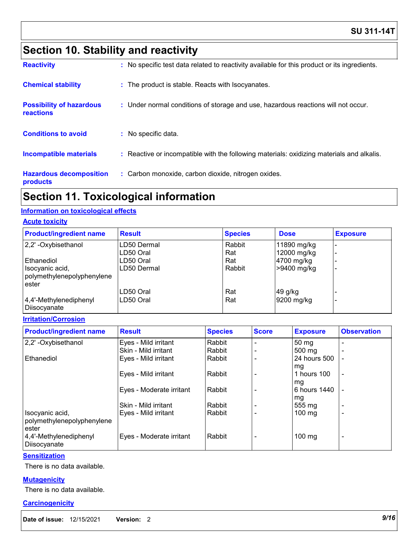### **Section 10. Stability and reactivity**

| <b>Hazardous decomposition</b><br>products   | : Carbon monoxide, carbon dioxide, nitrogen oxides.                                          |
|----------------------------------------------|----------------------------------------------------------------------------------------------|
| Incompatible materials                       | : Reactive or incompatible with the following materials: oxidizing materials and alkalis.    |
| <b>Conditions to avoid</b>                   | : No specific data.                                                                          |
| <b>Possibility of hazardous</b><br>reactions | : Under normal conditions of storage and use, hazardous reactions will not occur.            |
| <b>Chemical stability</b>                    | : The product is stable. Reacts with Isocyanates.                                            |
| <b>Reactivity</b>                            | : No specific test data related to reactivity available for this product or its ingredients. |

### **Section 11. Toxicological information**

#### **Information on toxicological effects**

#### **Acute toxicity**

| <b>Product/ingredient name</b>         | <b>Result</b> | <b>Species</b> | <b>Dose</b>            | <b>Exposure</b> |
|----------------------------------------|---------------|----------------|------------------------|-----------------|
| 2,2' -Oxybisethanol                    | LD50 Dermal   | Rabbit         | 11890 mg/kg            |                 |
|                                        | LD50 Oral     | Rat            | 12000 mg/kg            |                 |
| Ethanediol                             | LD50 Oral     | Rat            | 4700 mg/kg             |                 |
| Isocyanic acid,                        | LD50 Dermal   | Rabbit         | >9400 mg/kg            |                 |
| polymethylenepolyphenylene             |               |                |                        |                 |
| ester                                  | LD50 Oral     | Rat            | 49 g/kg                |                 |
|                                        |               |                |                        |                 |
| 4,4'-Methylenediphenyl<br>Diisocyanate | LD50 Oral     | Rat            | $ 9200 \text{ mg/kg} $ |                 |

#### **Irritation/Corrosion**

| <b>Product/ingredient name</b>         | <b>Result</b>            | <b>Species</b> | <b>Score</b> | <b>Exposure</b>  | <b>Observation</b>       |
|----------------------------------------|--------------------------|----------------|--------------|------------------|--------------------------|
| 2,2'-Oxybisethanol                     | Eyes - Mild irritant     | Rabbit         |              | 50 <sub>mg</sub> |                          |
|                                        | Skin - Mild irritant     | Rabbit         |              | $500 \text{ mg}$ |                          |
| Ethanediol                             | Eyes - Mild irritant     | Rabbit         |              | 24 hours 500     |                          |
|                                        |                          |                |              | mg               |                          |
|                                        | Eyes - Mild irritant     | Rabbit         |              | 1 hours 100      | $\overline{\phantom{a}}$ |
|                                        |                          |                |              | mg               |                          |
|                                        | Eyes - Moderate irritant | Rabbit         |              | 6 hours 1440     |                          |
|                                        |                          |                |              | mg               |                          |
|                                        | Skin - Mild irritant     | Rabbit         |              | 555 mg           | $\overline{\phantom{0}}$ |
| Isocyanic acid,                        | Eyes - Mild irritant     | Rabbit         |              | $100 \text{ mg}$ | $\overline{\phantom{0}}$ |
| polymethylenepolyphenylene             |                          |                |              |                  |                          |
| ester                                  |                          |                |              |                  |                          |
| 4,4'-Methylenediphenyl<br>Diisocyanate | Eyes - Moderate irritant | Rabbit         |              | 100 mg           | $\overline{\phantom{0}}$ |

#### **Sensitization**

There is no data available.

#### **Mutagenicity**

There is no data available.

#### **Carcinogenicity**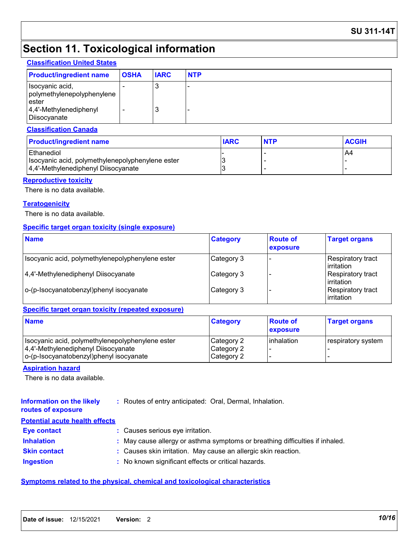#### **SU 311-14T**

### **Section 11. Toxicological information**

#### **Classification United States**

| <b>Product/ingredient name</b>                                                                       | <b>OSHA</b> | <b>IARC</b> | <b>NTP</b> |
|------------------------------------------------------------------------------------------------------|-------------|-------------|------------|
| Isocyanic acid,<br>polymethylenepolyphenylene<br>ester<br>$ 4,4'$ -Methylenediphenyl<br>Diisocyanate |             | J<br>3      |            |

#### **Classification Canada**

| <b>Product/ingredient name</b>                   | <b>IARC</b> | <b>NTP</b> | <b>ACGIH</b> |
|--------------------------------------------------|-------------|------------|--------------|
| l Ethanediol                                     |             |            | A4           |
| Isocyanic acid, polymethylenepolyphenylene ester |             |            |              |
| 4,4'-Methylenediphenyl Diisocyanate              |             |            |              |

#### **Reproductive toxicity**

There is no data available.

#### **Teratogenicity**

There is no data available.

#### **Specific target organ toxicity (single exposure)**

| <b>Name</b>                                      | <b>Category</b> | <b>Route of</b><br>exposure | <b>Target organs</b>                    |
|--------------------------------------------------|-----------------|-----------------------------|-----------------------------------------|
| Isocyanic acid, polymethylenepolyphenylene ester | Category 3      |                             | Respiratory tract<br><i>I</i> rritation |
| 4,4'-Methylenediphenyl Diisocyanate              | Category 3      |                             | Respiratory tract<br>l irritation       |
| o-(p-Isocyanatobenzyl)phenyl isocyanate          | Category 3      |                             | Respiratory tract<br><b>lirritation</b> |

#### **Specific target organ toxicity (repeated exposure)**

| <b>Name</b>                                                                                                                        | <b>Category</b>                        | <b>Route of</b><br>exposure | <b>Target organs</b> |
|------------------------------------------------------------------------------------------------------------------------------------|----------------------------------------|-----------------------------|----------------------|
| Isocyanic acid, polymethylenepolyphenylene ester<br>4,4'-Methylenediphenyl Diisocyanate<br>o-(p-Isocyanatobenzyl)phenyl isocyanate | Category 2<br>Category 2<br>Category 2 | l inhalation                | respiratory system   |

#### **Aspiration hazard**

There is no data available.

#### **Information on the likely routes of exposure :** Routes of entry anticipated: Oral, Dermal, Inhalation.

#### **Potential acute health effects**

| <b>Eve contact</b>  | : Causes serious eye irritation.                                             |
|---------------------|------------------------------------------------------------------------------|
| <b>Inhalation</b>   | : May cause allergy or asthma symptoms or breathing difficulties if inhaled. |
| <b>Skin contact</b> | : Causes skin irritation. May cause an allergic skin reaction.               |
| <b>Ingestion</b>    | : No known significant effects or critical hazards.                          |

#### **Symptoms related to the physical, chemical and toxicological characteristics**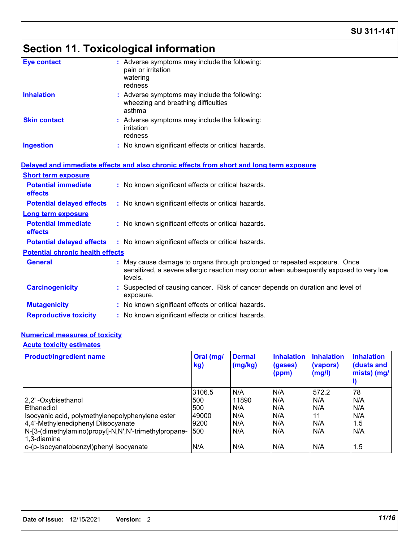# **Section 11. Toxicological information**

| <b>Eye contact</b>                      | : Adverse symptoms may include the following:<br>pain or irritation<br>watering<br>redness                                                                                     |
|-----------------------------------------|--------------------------------------------------------------------------------------------------------------------------------------------------------------------------------|
| <b>Inhalation</b>                       | : Adverse symptoms may include the following:<br>wheezing and breathing difficulties<br>asthma                                                                                 |
| <b>Skin contact</b>                     | : Adverse symptoms may include the following:<br>irritation<br>redness                                                                                                         |
| <b>Ingestion</b>                        | : No known significant effects or critical hazards.                                                                                                                            |
|                                         | Delayed and immediate effects and also chronic effects from short and long term exposure                                                                                       |
| <b>Short term exposure</b>              |                                                                                                                                                                                |
| <b>Potential immediate</b><br>effects   | : No known significant effects or critical hazards.                                                                                                                            |
| <b>Potential delayed effects</b>        | : No known significant effects or critical hazards.                                                                                                                            |
| <b>Long term exposure</b>               |                                                                                                                                                                                |
| <b>Potential immediate</b><br>effects   | : No known significant effects or critical hazards.                                                                                                                            |
| <b>Potential delayed effects</b>        | : No known significant effects or critical hazards.                                                                                                                            |
| <b>Potential chronic health effects</b> |                                                                                                                                                                                |
| <b>General</b>                          | : May cause damage to organs through prolonged or repeated exposure. Once<br>sensitized, a severe allergic reaction may occur when subsequently exposed to very low<br>levels. |
| <b>Carcinogenicity</b>                  | : Suspected of causing cancer. Risk of cancer depends on duration and level of<br>exposure.                                                                                    |
| <b>Mutagenicity</b>                     | : No known significant effects or critical hazards.                                                                                                                            |
| <b>Reproductive toxicity</b>            | : No known significant effects or critical hazards.                                                                                                                            |
|                                         |                                                                                                                                                                                |

### **Numerical measures of toxicity**

#### **Acute toxicity estimates**

| <b>Product/ingredient name</b>                                       | Oral (mg/<br>kg) | <b>Dermal</b><br>(mg/kg) | <b>Inhalation</b><br>(gases)<br>(ppm) | <b>Inhalation</b><br>(vapors)<br>(mg/l) | <b>Inhalation</b><br>(dusts and<br>mists) (mg/ |
|----------------------------------------------------------------------|------------------|--------------------------|---------------------------------------|-----------------------------------------|------------------------------------------------|
|                                                                      | 3106.5           | N/A                      | N/A                                   | 572.2                                   | 78                                             |
| 2,2'-Oxybisethanol                                                   | <b>1500</b>      | 11890                    | N/A                                   | N/A                                     | N/A                                            |
| Ethanediol                                                           | 500              | N/A                      | N/A                                   | N/A                                     | N/A                                            |
| Isocyanic acid, polymethylenepolyphenylene ester                     | 49000            | N/A                      | N/A                                   | 11                                      | N/A                                            |
| 4,4'-Methylenediphenyl Diisocyanate                                  | 9200             | N/A                      | N/A                                   | N/A                                     | 1.5                                            |
| N-[3-(dimethylamino)propyl]-N,N',N'-trimethylpropane-<br>1.3-diamine | 500              | N/A                      | N/A                                   | N/A                                     | N/A                                            |
| o-(p-Isocyanatobenzyl)phenyl isocyanate                              | N/A              | N/A                      | N/A                                   | N/A                                     | 1.5                                            |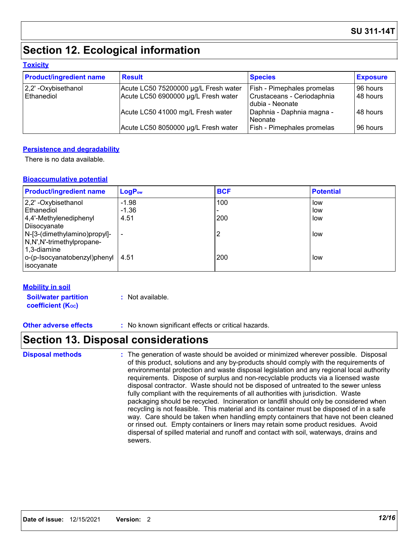### **Section 12. Ecological information**

#### **Toxicity**

| <b>Product/ingredient name</b> | <b>Result</b>                        | <b>Species</b>                                | <b>Exposure</b> |
|--------------------------------|--------------------------------------|-----------------------------------------------|-----------------|
| $ 2,2$ ' -Oxybisethanol        | Acute LC50 75200000 µg/L Fresh water | <b>Fish - Pimephales promelas</b>             | 96 hours        |
| Ethanediol                     | Acute LC50 6900000 µg/L Fresh water  | Crustaceans - Ceriodaphnia<br>dubia - Neonate | 48 hours        |
|                                | Acute LC50 41000 mg/L Fresh water    | Daphnia - Daphnia magna -<br>l Neonate        | l 48 hours      |
|                                | Acute LC50 8050000 µg/L Fresh water  | <b>Fish - Pimephales promelas</b>             | 196 hours       |

#### **Persistence and degradability**

There is no data available.

#### **Bioaccumulative potential**

| <b>Product/ingredient name</b>          | $LogP_{ow}$              | <b>BCF</b> | <b>Potential</b> |
|-----------------------------------------|--------------------------|------------|------------------|
| 2,2' -Oxybisethanol                     | $-1.98$                  | 100        | low              |
| <b>Ethanediol</b>                       | $-1.36$                  |            | low              |
| 4,4'-Methylenediphenyl                  | 4.51                     | 200        | low              |
| Diisocyanate                            |                          |            |                  |
| N-[3-(dimethylamino)propyl]-            | $\overline{\phantom{0}}$ | ာ          | low              |
| N,N',N'-trimethylpropane-               |                          |            |                  |
| 1,3-diamine                             |                          |            |                  |
| $ o$ -(p-Isocyanatobenzyl)phenyl   4.51 |                          | 200        | low              |
| isocyanate                              |                          |            |                  |

#### **Mobility in soil**

**Soil/water partition coefficient (K**<sub>oc</sub>) **:** Not available.

**Other adverse effects** : No known significant effects or critical hazards.

### **Section 13. Disposal considerations**

#### The generation of waste should be avoided or minimized wherever possible. Disposal of this product, solutions and any by-products should comply with the requirements of environmental protection and waste disposal legislation and any regional local authority requirements. Dispose of surplus and non-recyclable products via a licensed waste disposal contractor. Waste should not be disposed of untreated to the sewer unless fully compliant with the requirements of all authorities with jurisdiction. Waste packaging should be recycled. Incineration or landfill should only be considered when recycling is not feasible. This material and its container must be disposed of in a safe way. Care should be taken when handling empty containers that have not been cleaned or rinsed out. Empty containers or liners may retain some product residues. Avoid dispersal of spilled material and runoff and contact with soil, waterways, drains and sewers. **Disposal methods :**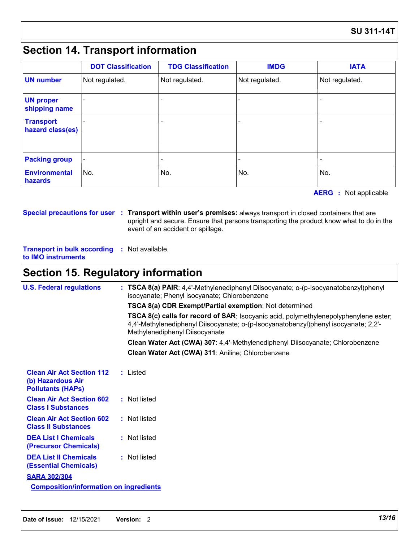### **Section 14. Transport information**

|                                      | <b>DOT Classification</b> | <b>TDG Classification</b> | <b>IMDG</b>    | <b>IATA</b>    |
|--------------------------------------|---------------------------|---------------------------|----------------|----------------|
| <b>UN number</b>                     | Not regulated.            | Not regulated.            | Not regulated. | Not regulated. |
| <b>UN proper</b><br>shipping name    |                           |                           |                |                |
| <b>Transport</b><br>hazard class(es) |                           |                           |                |                |
| <b>Packing group</b>                 | $\overline{\phantom{0}}$  |                           |                |                |
| <b>Environmental</b><br>hazards      | No.                       | No.                       | No.            | No.            |

**AERG** : Not applicable

**Special precautions for user Transport within user's premises:** always transport in closed containers that are **:** upright and secure. Ensure that persons transporting the product know what to do in the event of an accident or spillage.

**Transport in bulk according :** Not available. **to IMO instruments**

### **Section 15. Regulatory information**

| <b>U.S. Federal regulations</b>                                                   | : TSCA 8(a) PAIR: 4,4'-Methylenediphenyl Diisocyanate; o-(p-Isocyanatobenzyl)phenyl<br>isocyanate; Phenyl isocyanate; Chlorobenzene                                                                           |  |
|-----------------------------------------------------------------------------------|---------------------------------------------------------------------------------------------------------------------------------------------------------------------------------------------------------------|--|
|                                                                                   | TSCA 8(a) CDR Exempt/Partial exemption: Not determined                                                                                                                                                        |  |
|                                                                                   | TSCA 8(c) calls for record of SAR: Isocyanic acid, polymethylenepolyphenylene ester;<br>4,4'-Methylenediphenyl Diisocyanate; o-(p-Isocyanatobenzyl)phenyl isocyanate; 2,2'-<br>Methylenediphenyl Diisocyanate |  |
|                                                                                   | Clean Water Act (CWA) 307: 4,4'-Methylenediphenyl Diisocyanate; Chlorobenzene                                                                                                                                 |  |
|                                                                                   | Clean Water Act (CWA) 311: Aniline; Chlorobenzene                                                                                                                                                             |  |
| <b>Clean Air Act Section 112</b><br>(b) Hazardous Air<br><b>Pollutants (HAPS)</b> | : Listed                                                                                                                                                                                                      |  |
| <b>Clean Air Act Section 602</b><br><b>Class I Substances</b>                     | : Not listed                                                                                                                                                                                                  |  |
| <b>Clean Air Act Section 602</b><br><b>Class II Substances</b>                    | : Not listed                                                                                                                                                                                                  |  |
| <b>DEA List I Chemicals</b><br>(Precursor Chemicals)                              | : Not listed                                                                                                                                                                                                  |  |
| <b>DEA List II Chemicals</b><br><b>(Essential Chemicals)</b>                      | : Not listed                                                                                                                                                                                                  |  |
| <b>SARA 302/304</b>                                                               |                                                                                                                                                                                                               |  |
| <b>Composition/information on ingredients</b>                                     |                                                                                                                                                                                                               |  |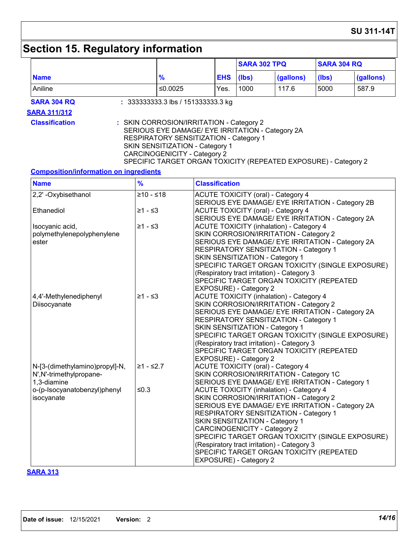# **Section 15. Regulatory information**

|                                                                           | <b>SARA 302 TPQ</b>                                                                                                                                                                                                                                                                 |                                                                                                  |       | <b>SARA 304 RQ</b>                                                                                                                                                                                                                                                                 |       |                                                  |
|---------------------------------------------------------------------------|-------------------------------------------------------------------------------------------------------------------------------------------------------------------------------------------------------------------------------------------------------------------------------------|--------------------------------------------------------------------------------------------------|-------|------------------------------------------------------------------------------------------------------------------------------------------------------------------------------------------------------------------------------------------------------------------------------------|-------|--------------------------------------------------|
| <b>Name</b>                                                               | $\frac{9}{6}$                                                                                                                                                                                                                                                                       | <b>EHS</b>                                                                                       | (Ibs) | (gallons)                                                                                                                                                                                                                                                                          | (Ibs) | (gallons)                                        |
| Aniline                                                                   | ≤0.0025                                                                                                                                                                                                                                                                             | Yes.                                                                                             | 1000  | 117.6                                                                                                                                                                                                                                                                              | 5000  | 587.9                                            |
| <b>SARA 304 RQ</b>                                                        | $: 3333333333.3$ lbs / 151333333.3 kg                                                                                                                                                                                                                                               |                                                                                                  |       |                                                                                                                                                                                                                                                                                    |       |                                                  |
| <b>SARA 311/312</b>                                                       |                                                                                                                                                                                                                                                                                     |                                                                                                  |       |                                                                                                                                                                                                                                                                                    |       |                                                  |
| <b>Classification</b>                                                     | : SKIN CORROSION/IRRITATION - Category 2<br>SERIOUS EYE DAMAGE/ EYE IRRITATION - Category 2A<br>RESPIRATORY SENSITIZATION - Category 1<br>SKIN SENSITIZATION - Category 1<br><b>CARCINOGENICITY - Category 2</b><br>SPECIFIC TARGET ORGAN TOXICITY (REPEATED EXPOSURE) - Category 2 |                                                                                                  |       |                                                                                                                                                                                                                                                                                    |       |                                                  |
| <b>Composition/information on ingredients</b>                             |                                                                                                                                                                                                                                                                                     |                                                                                                  |       |                                                                                                                                                                                                                                                                                    |       |                                                  |
| <b>Name</b>                                                               | $\frac{9}{6}$                                                                                                                                                                                                                                                                       | <b>Classification</b>                                                                            |       |                                                                                                                                                                                                                                                                                    |       |                                                  |
| 2,2'-Oxybisethanol                                                        | $≥10 - ≤18$                                                                                                                                                                                                                                                                         |                                                                                                  |       | <b>ACUTE TOXICITY (oral) - Category 4</b>                                                                                                                                                                                                                                          |       |                                                  |
| Ethanediol                                                                | $≥1 - ≤3$                                                                                                                                                                                                                                                                           |                                                                                                  |       | SERIOUS EYE DAMAGE/ EYE IRRITATION - Category 2B<br><b>ACUTE TOXICITY (oral) - Category 4</b><br>SERIOUS EYE DAMAGE/ EYE IRRITATION - Category 2A                                                                                                                                  |       |                                                  |
| Isocyanic acid,<br>polymethylenepolyphenylene<br>ester                    | ≥1 - ≤3                                                                                                                                                                                                                                                                             | SKIN SENSITIZATION - Category 1<br>EXPOSURE) - Category 2                                        |       | <b>ACUTE TOXICITY (inhalation) - Category 4</b><br>SKIN CORROSION/IRRITATION - Category 2<br>SERIOUS EYE DAMAGE/ EYE IRRITATION - Category 2A<br>RESPIRATORY SENSITIZATION - Category 1<br>(Respiratory tract irritation) - Category 3<br>SPECIFIC TARGET ORGAN TOXICITY (REPEATED |       | SPECIFIC TARGET ORGAN TOXICITY (SINGLE EXPOSURE) |
| 4,4'-Methylenediphenyl<br>Diisocyanate                                    | $≥1 - ≤3$                                                                                                                                                                                                                                                                           | SKIN SENSITIZATION - Category 1<br>EXPOSURE) - Category 2                                        |       | <b>ACUTE TOXICITY (inhalation) - Category 4</b><br>SKIN CORROSION/IRRITATION - Category 2<br>SERIOUS EYE DAMAGE/ EYE IRRITATION - Category 2A<br>RESPIRATORY SENSITIZATION - Category 1<br>(Respiratory tract irritation) - Category 3<br>SPECIFIC TARGET ORGAN TOXICITY (REPEATED |       | SPECIFIC TARGET ORGAN TOXICITY (SINGLE EXPOSURE) |
| N-[3-(dimethylamino)propyl]-N,<br>N', N'-trimethylpropane-<br>1,3-diamine | ≥1 - ≤2.7                                                                                                                                                                                                                                                                           |                                                                                                  |       | <b>ACUTE TOXICITY (oral) - Category 4</b><br>SKIN CORROSION/IRRITATION - Category 1C<br>SERIOUS EYE DAMAGE/ EYE IRRITATION - Category 1                                                                                                                                            |       |                                                  |
| o-(p-Isocyanatobenzyl)phenyl<br>isocyanate                                | ≤0.3                                                                                                                                                                                                                                                                                | SKIN SENSITIZATION - Category 1<br><b>CARCINOGENICITY - Category 2</b><br>EXPOSURE) - Category 2 |       | <b>ACUTE TOXICITY (inhalation) - Category 4</b><br>SKIN CORROSION/IRRITATION - Category 2<br>SERIOUS EYE DAMAGE/ EYE IRRITATION - Category 2A<br>RESPIRATORY SENSITIZATION - Category 1<br>(Respiratory tract irritation) - Category 3<br>SPECIFIC TARGET ORGAN TOXICITY (REPEATED |       | SPECIFIC TARGET ORGAN TOXICITY (SINGLE EXPOSURE) |

#### **SARA 313**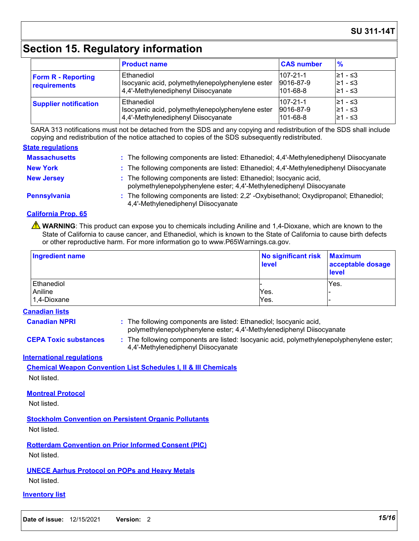#### **SU 311-14T**

### **Section 15. Regulatory information**

|                                           | <b>Product name</b>                                                                                   | <b>CAS number</b>                               | $\frac{9}{6}$                     |
|-------------------------------------------|-------------------------------------------------------------------------------------------------------|-------------------------------------------------|-----------------------------------|
| <b>Form R - Reporting</b><br>requirements | Ethanediol<br>Isocyanic acid, polymethylenepolyphenylene ester<br>4,4'-Methylenediphenyl Diisocyanate | $107 - 21 - 1$<br>9016-87-9<br>$101 - 68 - 8$   | $≥1 - ≤3$<br>l≥1 - ≤3<br>l≥1 - ≤3 |
| <b>Supplier notification</b>              | Ethanediol<br>Isocyanic acid, polymethylenepolyphenylene ester<br>4,4'-Methylenediphenyl Diisocyanate | $107 - 21 - 1$<br>9016-87-9<br>$ 101 - 68 - 8 $ | 21 - ≤3<br>l≥1 - ≤3<br>21 - ≤3    |

SARA 313 notifications must not be detached from the SDS and any copying and redistribution of the SDS shall include copying and redistribution of the notice attached to copies of the SDS subsequently redistributed.

#### **State regulations**

| <b>Massachusetts</b> | : The following components are listed: Ethanediol; 4,4'-Methylenediphenyl Diisocyanate                                                      |
|----------------------|---------------------------------------------------------------------------------------------------------------------------------------------|
| <b>New York</b>      | : The following components are listed: Ethanediol; 4,4'-Methylenediphenyl Diisocyanate                                                      |
| <b>New Jersey</b>    | : The following components are listed: Ethanediol; Isocyanic acid,<br>polymethylenepolyphenylene ester; 4,4'-Methylenediphenyl Diisocyanate |
| Pennsylvania         | : The following components are listed: 2,2' -Oxybisethanol; Oxydipropanol; Ethanediol;<br>4,4'-Methylenediphenyl Diisocyanate               |

#### **California Prop. 65**

**A** WARNING: This product can expose you to chemicals including Aniline and 1,4-Dioxane, which are known to the State of California to cause cancer, and Ethanediol, which is known to the State of California to cause birth defects or other reproductive harm. For more information go to www.P65Warnings.ca.gov.

| Ingredient name | No significant risk   Maximum<br>level | acceptable dosage<br><b>level</b> |
|-----------------|----------------------------------------|-----------------------------------|
| Ethanediol      |                                        | Yes.                              |
| Aniline         | Yes.                                   |                                   |
| 1,4-Dioxane     | Yes.                                   |                                   |

#### **Canadian lists**

**Canadian NPRI :**

: The following components are listed: Ethanediol; Isocyanic acid, polymethylenepolyphenylene ester; 4,4'-Methylenediphenyl Diisocyanate

**CEPA Toxic substances :** The following components are listed: Isocyanic acid, polymethylenepolyphenylene ester; 4,4'-Methylenediphenyl Diisocyanate

#### **International regulations**

**Chemical Weapon Convention List Schedules I, II & III Chemicals** Not listed.

#### **Montreal Protocol**

Not listed.

**Stockholm Convention on Persistent Organic Pollutants** Not listed.

**Rotterdam Convention on Prior Informed Consent (PIC)** Not listed.

#### **UNECE Aarhus Protocol on POPs and Heavy Metals**

Not listed.

#### **Inventory list**